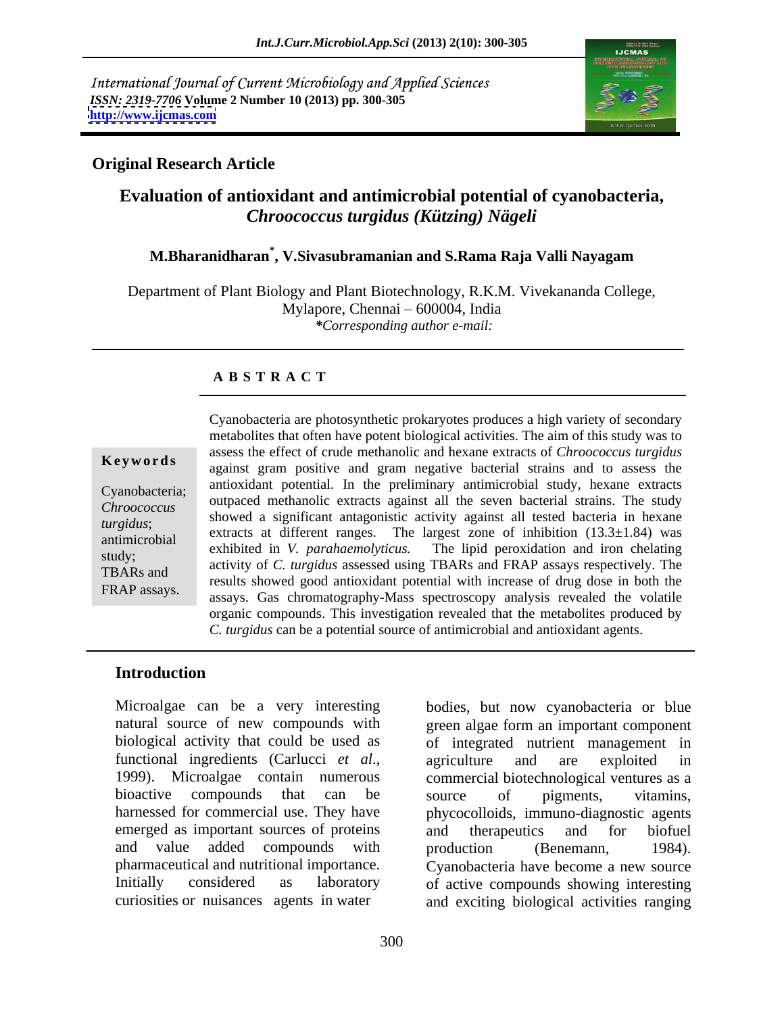International Journal of Current Microbiology and Applied Sciences *ISSN: 2319-7706* **Volume 2 Number 10 (2013) pp. 300-305 <http://www.ijcmas.com>**



### **Original Research Article**

# **Evaluation of antioxidant and antimicrobial potential of cyanobacteria,**  *Chroococcus turgidus (Kützing) Nägeli*

# **M.Bharanidharan\* , V.Sivasubramanian and S.Rama Raja Valli Nayagam**

Department of Plant Biology and Plant Biotechnology, R.K.M. Vivekananda College, Mylapore, Chennai – 600004, India *\*Corresponding author e-mail:*

### **A B S T R A C T**

**Keywords** against gram positive and gram negative bacterial strains and to assess the Cyanobacteria; outpaced methanolic extracts against all the seven bacterial strains. The study *Chroococcus* showed a significant antagonistic activity against all tested bacteria in hexane showed a significant antagonistic activity against all tested bacteria in hexane *turgidus*; Showed a significant antagonistic activity against an tested bacteria in hexane  $\alpha$  extracts at different ranges. The largest zone of inhibition (13.3±1.84) was<br>antimicrobial was delivered in  $K_{\alpha}$ study;<br>TBARs and activity of *C. turgidus* assessed using TBARs and FRAP assays respectively. The TBARs and<br>
results showed good antioxidant potential with increase of drug dose in both the Example Example Cyanobacteria are photosynthetic prokaryotes produces a high variety of secondary<br>
metabolites that often have potent biological activities. The aim of this study was to<br>
assess the effect of crude methanol metabolites that often have potent biological activities. The aim of this study was to assess the effect of crude methanolic and hexane extracts of *Chroococcus turgidus* antioxidant potential. In the preliminary antimicrobial study, hexane extracts exhibited in *V. parahaemolyticus.* The lipid peroxidation and iron chelating assays. Gas chromatography-Mass spectroscopy analysis revealed the volatile organic compounds. This investigation revealed that the metabolites produced by *C. turgidus* can be a potential source of antimicrobial and antioxidant agents.

## **Introduction**

Microalgae can be a very interesting bodies, but now cyanobacteria or blue emerged as important sources of proteins and therapeutics and for biofuel and value added compounds with production (Benemann, 1984).

natural source of new compounds with green algae form an important component biological activity that could be used as of integrated nutrient management in functional ingredients (Carlucci *et al*., 1999). Microalgae contain numerous bioactive compounds that can be source of pigments, vitamins, harnessed for commercial use. They have phycocolloids, immuno-diagnostic agents pharmaceutical and nutritional importance. Cyanobacteria have become a new source Initially considered as laboratory of active compounds showing interesting curiosities or nuisances agents in water and exciting biological activities ranging agriculture and are exploited in commercial biotechnological ventures as a source of pigments, vitamins, and therapeutics and for biofuel production (Benemann, 1984).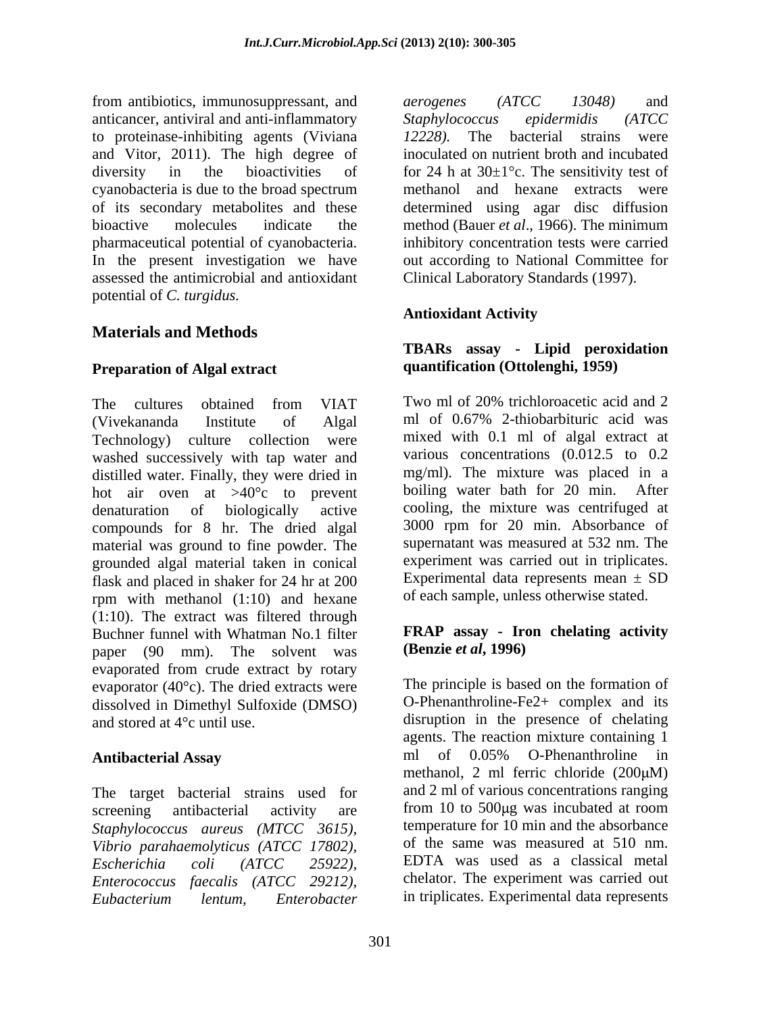from antibiotics, immunosuppressant, and *aerogenes (ATCC 13048)* and anticancer, antiviral and anti-inflammatory Staphylococcus epidermidis (ATCC) to proteinase-inhibiting agents (Viviana 12228). The bacterial strains were and Vitor, 2011). The high degree of inoculated on nutrient broth and incubated diversity in the bioactivities of for 24 h at  $30\pm1^{\circ}$ c. The sensitivity test of cyanobacteria is due to the broad spectrum of its secondary metabolites and these determined using agar disc diffusion bioactive molecules indicate the method (Bauer *et al*., 1966). The minimum pharmaceutical potential of cyanobacteria. inhibitory concentration tests were carried In the present investigation we have out according to National Committee for assessed the antimicrobial and antioxidant Clinical Laboratory Standards (1997). potential of *C. turgidus.*

The cultures obtained from VIAT Two ml of 20% trichloroacetic acid and 2 (Vivekananda Institute of Algal ml of 0.67% 2-thiobarbituric acid was Technology) culture collection were washed successively with tap water and distilled water. Finally, they were dried in hot air oven at >40°c to prevent denaturation of biologically active compounds for 8 hr. The dried algal material was ground to fine powder. The grounded algal material taken in conical flask and placed in shaker for 24 hr at 200 rpm with methanol (1:10) and hexane (1:10). The extract was filtered through Buchner funnel with Whatman No.1 filter paper (90 mm). The solvent was evaporated from crude extract by rotary evaporator (40°c). The dried extracts were dissolved in Dimethyl Sulfoxide (DMSO) and stored at 4°c until use. disruption in the presence of chelating

The target bacterial strains used for screening antibacterial activity are from 10 to 500µg was incubated at room *Staphylococcus aureus (MTCC 3615), Vibrio parahaemolyticus (ATCC 17802), Escherichia coli (ATCC 25922), Enterococcus faecalis (ATCC 29212), Eubacterium lentum, Enterobacter*

*aerogenes (ATCC 13048)* and *Staphylococcus epidermidis (ATCC 12228).* The bacterial strains were methanol and hexane extracts were

## **Antioxidant Activity**

## **Materials and Methods Preparation of Algal extract TBARs assay - Lipid peroxidation quantification (Ottolenghi, 1959)**

Two ml of 20% trichloroacetic acid and 2 ml of 0.67% 2-thiobarbituric acid was mixed with 0.1 ml of algal extract at various concentrations (0.012.5 to 0.2 mg/ml). The mixture was placed in a boiling water bath for 20 min. After cooling, the mixture was centrifuged at 3000 rpm for 20 min. Absorbance of supernatant was measured at 532 nm. The experiment was carried out in triplicates. Experimental data represents mean  $\pm$  SD of each sample, unless otherwise stated.

## **FRAP assay - Iron chelating activity (Benzie** *et al***, 1996)**

Antibacterial Assay **Exercise 2018** ml of 0.05% O-Phenanthroline in The principle is based on the formation of O*-*Phenanthroline-Fe2+ complex and its agents. The reaction mixture containing 1 ml of 0.05% O-Phenanthroline in methanol, 2 ml ferric chloride  $(200 \mu M)$ and 2 ml of various concentrations ranging temperature for 10 min and the absorbance of the same was measured at 510 nm. EDTA was used as a classical metal chelator. The experiment was carried out in triplicates. Experimental data represents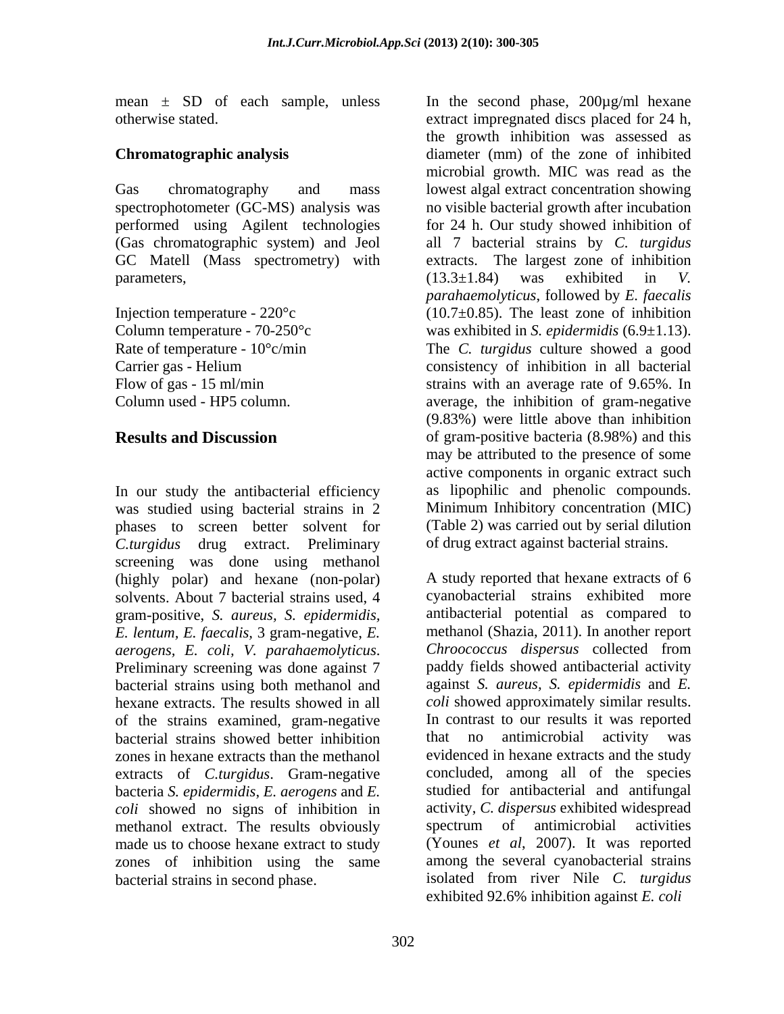mean ± SD of each sample, unless

In our study the antibacterial efficiency was studied using bacterial strains in 2 phases to screen better solvent for *C.turgidus* drug extract. Preliminary screening was done using methanol (highly polar) and hexane (non-polar) solvents. About 7 bacterial strains used, 4 cyanobacterial strains exhibited more gram-positive, *S. aureus, S. epidermidis, E. lentum, E. faecalis,* 3 gram-negative, *E. aerogens, E. coli, V. parahaemolyticus. Chroococcus dispersus* collected from<br>Preliminary screening was done against 7 paddy fields showed antibacterial activity bacterial strains using both methanol and hexane extracts. The results showed in all *coli* showed approximately similar results. of the strains examined, gram-negative bacterial strains showed better inhibition zones in hexane extracts than the methanol extracts of *C.turgidus*. Gram-negative bacteria *S. epidermidis*, *E. aerogens* and *E. coli* showed no signs of inhibition in activity, *C. dispersus* exhibited v<br>methanol extract. The results obviously spectrum of antimicrobial methanol extract. The results obviously spectrum of antimicrobial activities made us to choose hexane extract to study zones of inhibition using the same bacterial strains in second phase. isolated from river Nile *C. turgidus*

otherwise stated. extract impregnated discs placed for 24 h, **Chromatographic analysis** diameter (mm) of the zone of inhibited Gas chromatography and mass lowest algal extract concentration showing spectrophotometer (GC-MS) analysis was no visible bacterial growth after incubation performed using Agilent technologies for 24 h. Our study showed inhibition of (Gas chromatographic system) and Jeol all 7 bacterial strains by *C. turgidus* GC Matell (Mass spectrometry) with extracts. The largest zone of inhibition parameters,  $(13.3 \pm 1.84)$  was exhibited in *V*. Injection temperature - 220°c (10.7±0.85). The least zone of inhibition Column temperature -  $70-250^{\circ}$ c was exhibited in S. *epidermidis*  $(6.9\pm1.13)$ . Rate of temperature -  $10^{\circ}$ c/min The *C. turgidus* culture showed a good Carrier gas - Helium consistency of inhibition in all bacterial Flow of gas - 15 ml/min strains with an average rate of 9.65%. In Column used - HP5 column. average, the inhibition of gram-negative **Results and Discussion** of gram-positive bacteria (8.98%) and this In the second phase, 200µg/ml hexane the growth inhibition was assessed as microbial growth. MIC was read as the (13.3±1.84) was exhibited in *V. parahaemolyticus*, followed by *E. faecalis* was exhibited in *S. epidermidis* (6.9±1.13). The *C. turgidus* culture showed <sup>a</sup> good (9.83%) were little above than inhibition may be attributed to the presence of some active components in organic extract such as lipophilic and phenolic compounds. Minimum Inhibitory concentration (MIC) (Table 2) was carried out by serial dilution of drug extract against bacterial strains.

> A study reported that hexane extracts of 6 antibacterial potential as compared to methanol (Shazia, 2011). In another report *Chroococcus dispersus* collected from paddy fields showed antibacterial activity against *S. aureus, S. epidermidis* and *E.* In contrast to our results it was reported that no antimicrobial activity was evidenced in hexane extracts and the study concluded, among all of the species studied for antibacterial and antifungal activity, *C. dispersus* exhibited widespread spectrum of antimicrobial activities (Younes *et al*, 2007). It was reported among the several cyanobacterial strains exhibited 92.6% inhibition against *E. coli*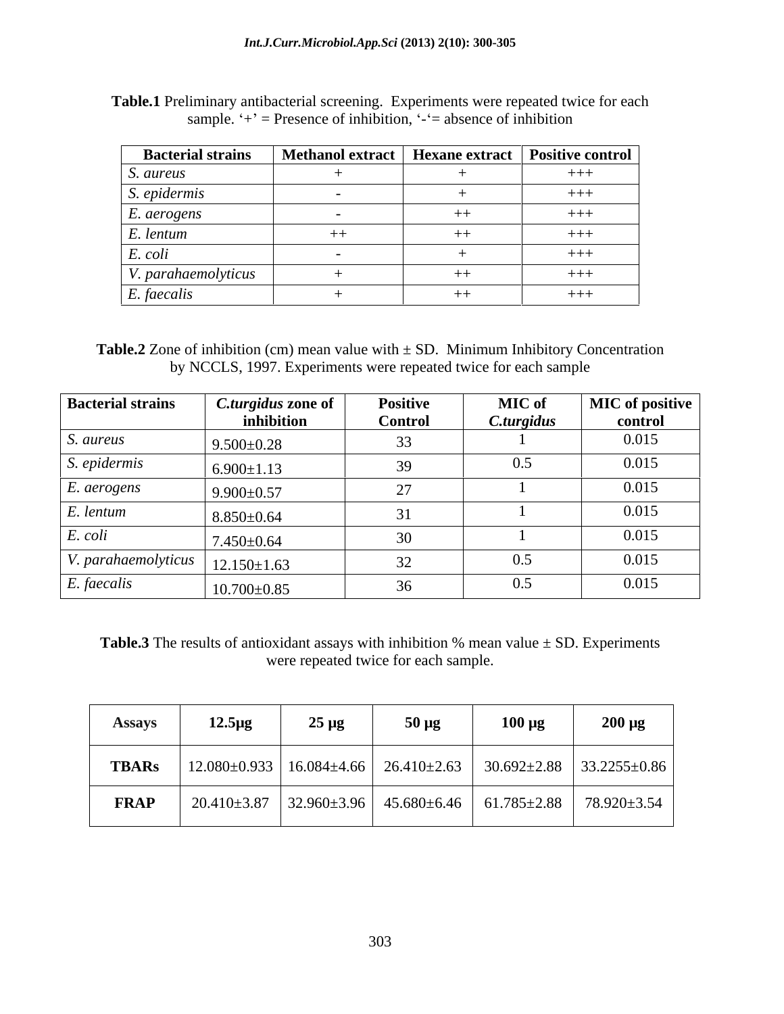| <b>Bacterial strains</b> | Methanol extract   Hexane extract   Positive control |         |       |
|--------------------------|------------------------------------------------------|---------|-------|
| S. aureus                |                                                      |         | $+++$ |
| S. epidermis             |                                                      |         | $+++$ |
| E. aerogens              |                                                      |         | $+++$ |
| E. lentum                |                                                      | $^{++}$ | $+++$ |
| E. coli                  |                                                      |         | $+++$ |
| V. parahaemolyticus      |                                                      | $++$    | $+++$ |
| E. faecalis              |                                                      | $^{++}$ | $+++$ |

**Table.1** Preliminary antibacterial screening. Experiments were repeated twice for each sample.  $\dot{ }$  +' = Presence of inhibition,  $\dot{ }$  -'= absence of inhibition

**Table.2** Zone of inhibition (cm) mean value with  $\pm$  SD. Minimum Inhibitory Concentration by NCCLS, 1997. Experiments were repeated twice for each sample

| <b>Bacterial strains</b> | C.turgidus zone of | <b>Positive</b> | <b>MIC</b> of | <b>MIC</b> of positive |
|--------------------------|--------------------|-----------------|---------------|------------------------|
|                          | inhibition         | <b>Control</b>  | C.turgidus    | control                |
| <i>S. aureus</i>         | $9.500 \pm 0.28$   | ັບ              |               | 0.015                  |
| S. epidermis             | $6.900 \pm 1.13$   |                 | 0.5           | 0.015                  |
| $E.$ aerogens            | $9.900 \pm 0.57$   | $\mathcal{L}$   |               | 0.015                  |
| $E.$ lentum              | $8.850\pm0.64$     |                 |               | 0.015                  |
| E. coli                  | $7.450{\pm}0.64$   | 30 <sup>2</sup> |               | 0.015                  |
| V. parahaemolyticus      | $12.150 \pm 1.63$  |                 | 0.5           | 0.015                  |
| $E.$ faecalis            | $10.700 \pm 0.85$  |                 | 0.5           | 0.015                  |

**Table.3** The results of antioxidant assays with inhibition % mean value  $\pm$  SD. Experiments were repeated twice for each sample.

| <b>Assays</b> | $12.5 \mu g$ | $25 \mu g$ | $50 \mu g$ | $100 \mu g$ | $200 \mu g$                                                                                 |
|---------------|--------------|------------|------------|-------------|---------------------------------------------------------------------------------------------|
| <b>TBARs</b>  |              |            |            |             | 12.080±0.933   16.084±4.66   26.410±2.63   30.692±2.88   33.2255±0.86                       |
| <b>FRAP</b>   |              |            |            |             | $20.410\pm3.87$   32.960 $\pm3.96$   45.680 $\pm6.46$   61.785 $\pm2.88$   78.920 $\pm3.54$ |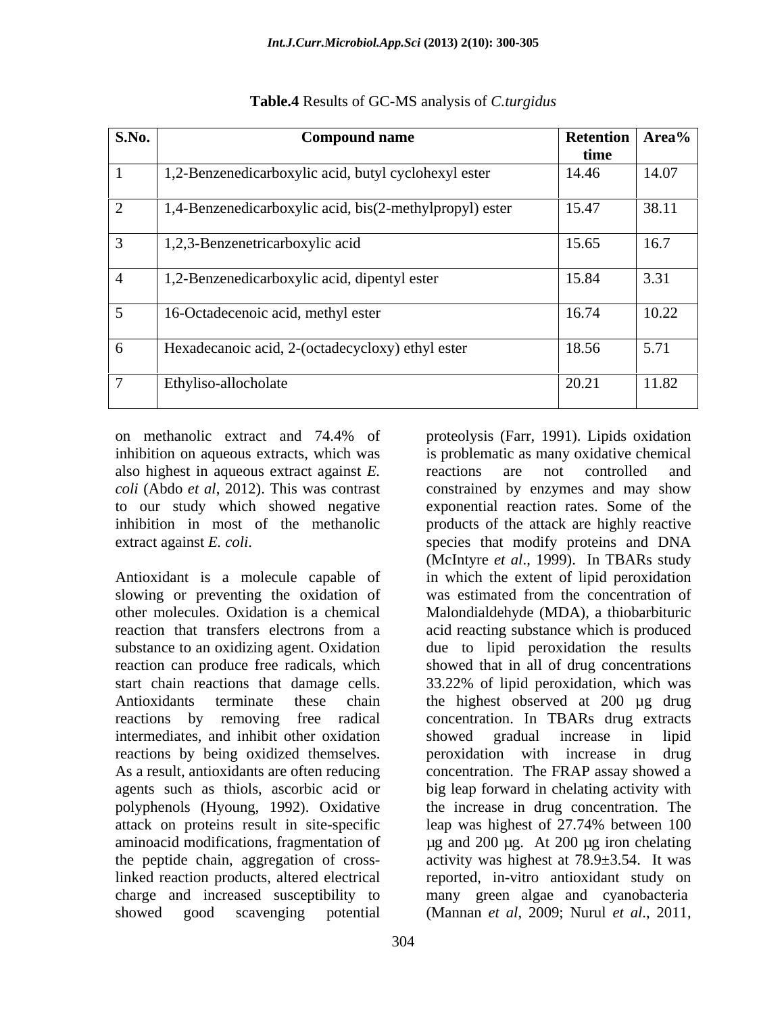| <b>S.No.</b> | <b>Compound name</b>                                              | <b>Retention Area%</b>        |
|--------------|-------------------------------------------------------------------|-------------------------------|
|              |                                                                   | time                          |
|              | 1,2-Benzenedicarboxylic acid, butyl cyclohexyl ester              | 14.46<br>14.07                |
|              | $\sqrt{1,4}$ -Benzenedicarboxylic acid, bis(2-methylpropyl) ester | 15.47<br> 38.11               |
|              | $\vert$ 1,2,3-Benzenetricarboxylic acid                           | 15.65<br>16.7                 |
|              | $\vert$ 1,2-Benzenedicarboxylic acid, dipentyl ester              | 15.84<br>$\sqrt{2}$<br>1.3.31 |
|              | 16-Octadecenoic acid, methyl ester                                | 10.22<br>16.74                |
|              | Hexadecanoic acid, 2-(octadecycloxy) ethyl ester                  | $18.56$ 5.71                  |
|              | Ethyliso-allocholate                                              | 11.82<br>$-0.21$              |

## **Table.4** Results of GC-MS analysis of *C.turgidus*

on methanolic extract and 74.4% of proteolysis (Farr, 1991). Lipids oxidation also highest in aqueous extract against *E.* to our study which showed negative

Antioxidant is a molecule capable of slowing or preventing the oxidation of was estimated from the concentration of intermediates, and inhibit other oxidation showed gradual increase in lipid reactions by being oxidized themselves. <br> peroxidation with increase in drug attack on proteins result in site-specific leap was highest of 27.74% between 100 showed good scavenging potential (Mannan *et al*, 2009; Nurul *et al*., 2011,

inhibition on aqueous extracts, which was is problematic as many oxidative chemical *coli* (Abdo *et al*, 2012). This was contrast constrained by enzymes and may show inhibition in most of the methanolic products of the attack are highly reactive extract against *E. coli*. Species that modify proteins and DNA other molecules. Oxidation is a chemical Malondialdehyde (MDA), a thiobarbituric reaction that transfers electrons from a acid reacting substance which is produced substance to an oxidizing agent. Oxidation due to lipid peroxidation the results reaction can produce free radicals, which showed that in all of drug concentrations start chain reactions that damage cells. 33.22% of lipid peroxidation, which was Antioxidants terminate these chain the highest observed at 200 µg drug reactions by removing free radical concentration. In TBARs drug extracts As a result, antioxidants are often reducing concentration. The FRAP assay showed a agents such as thiols, ascorbic acid or big leap forward in chelating activity with polyphenols (Hyoung, 1992). Oxidative the increase in drug concentration. The aminoacid modifications, fragmentation of principle and 200 µg. At 200 µg iron chelating the peptide chain, aggregation of cross-activity was highest at 78.9±3.54.It was linked reaction products, altered electrical reported, in-vitro antioxidant study on charge and increased susceptibility to many green algae and cyanobacteria proteolysis (Farr, 1991). Lipids oxidation reactions are not controlled and exponential reaction rates. Some of the (McIntyre *et al*., 1999). In TBARs study in which the extent of lipid peroxidation was estimated from the concentration of showed gradual increase in lipid peroxidation with increase in leap was highest of 27.74% between 100